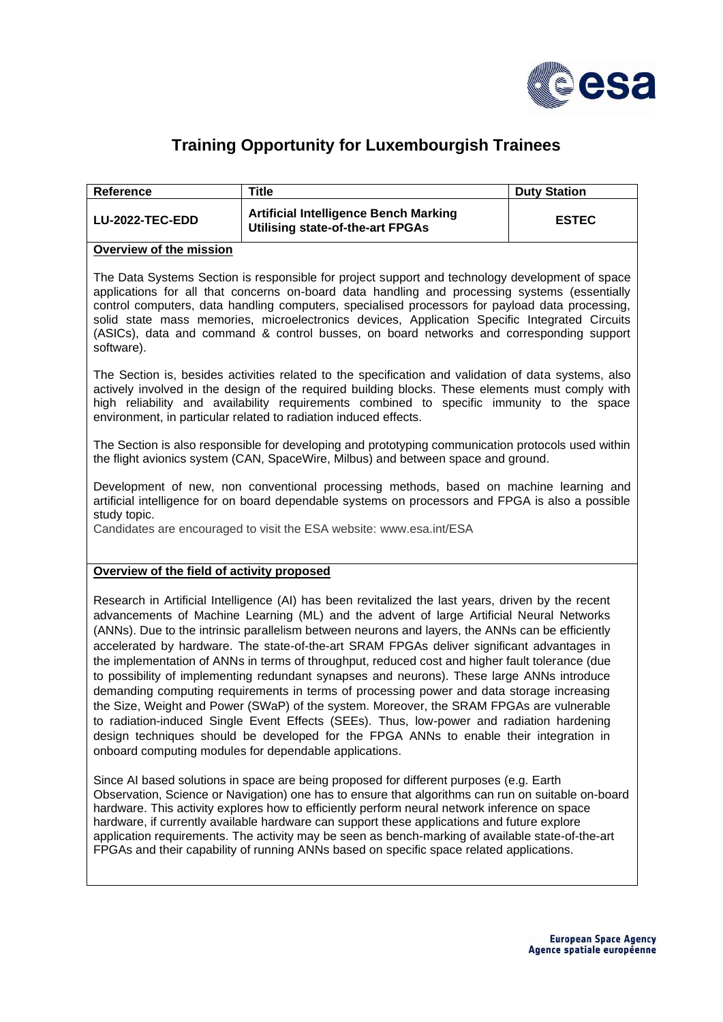

## **Training Opportunity for Luxembourgish Trainees**

| Reference       | Title                                                                            | <b>Duty Station</b> |
|-----------------|----------------------------------------------------------------------------------|---------------------|
| LU-2022-TEC-EDD | <b>Artificial Intelligence Bench Marking</b><br>Utilising state-of-the-art FPGAs | <b>ESTEC</b>        |

## **Overview of the mission**

The Data Systems Section is responsible for project support and technology development of space applications for all that concerns on-board data handling and processing systems (essentially control computers, data handling computers, specialised processors for payload data processing, solid state mass memories, microelectronics devices, Application Specific Integrated Circuits (ASICs), data and command & control busses, on board networks and corresponding support software).

The Section is, besides activities related to the specification and validation of data systems, also actively involved in the design of the required building blocks. These elements must comply with high reliability and availability requirements combined to specific immunity to the space environment, in particular related to radiation induced effects.

The Section is also responsible for developing and prototyping communication protocols used within the flight avionics system (CAN, SpaceWire, Milbus) and between space and ground.

Development of new, non conventional processing methods, based on machine learning and artificial intelligence for on board dependable systems on processors and FPGA is also a possible study topic.

Candidates are encouraged to visit the ESA website: [www.esa.int/ESA](http://www.esa.int/ESA)

## **Overview of the field of activity proposed**

Research in Artificial Intelligence (AI) has been revitalized the last years, driven by the recent advancements of Machine Learning (ML) and the advent of large Artificial Neural Networks (ANNs). Due to the intrinsic parallelism between neurons and layers, the ANNs can be efficiently accelerated by hardware. The state-of-the-art SRAM FPGAs deliver significant advantages in the implementation of ANNs in terms of throughput, reduced cost and higher fault tolerance (due to possibility of implementing redundant synapses and neurons). These large ANNs introduce demanding computing requirements in terms of processing power and data storage increasing the Size, Weight and Power (SWaP) of the system. Moreover, the SRAM FPGAs are vulnerable to radiation-induced Single Event Effects (SEEs). Thus, low-power and radiation hardening design techniques should be developed for the FPGA ANNs to enable their integration in onboard computing modules for dependable applications.

Since AI based solutions in space are being proposed for different purposes (e.g. Earth Observation, Science or Navigation) one has to ensure that algorithms can run on suitable on-board hardware. This activity explores how to efficiently perform neural network inference on space hardware, if currently available hardware can support these applications and future explore application requirements. The activity may be seen as bench-marking of available state-of-the-art FPGAs and their capability of running ANNs based on specific space related applications.